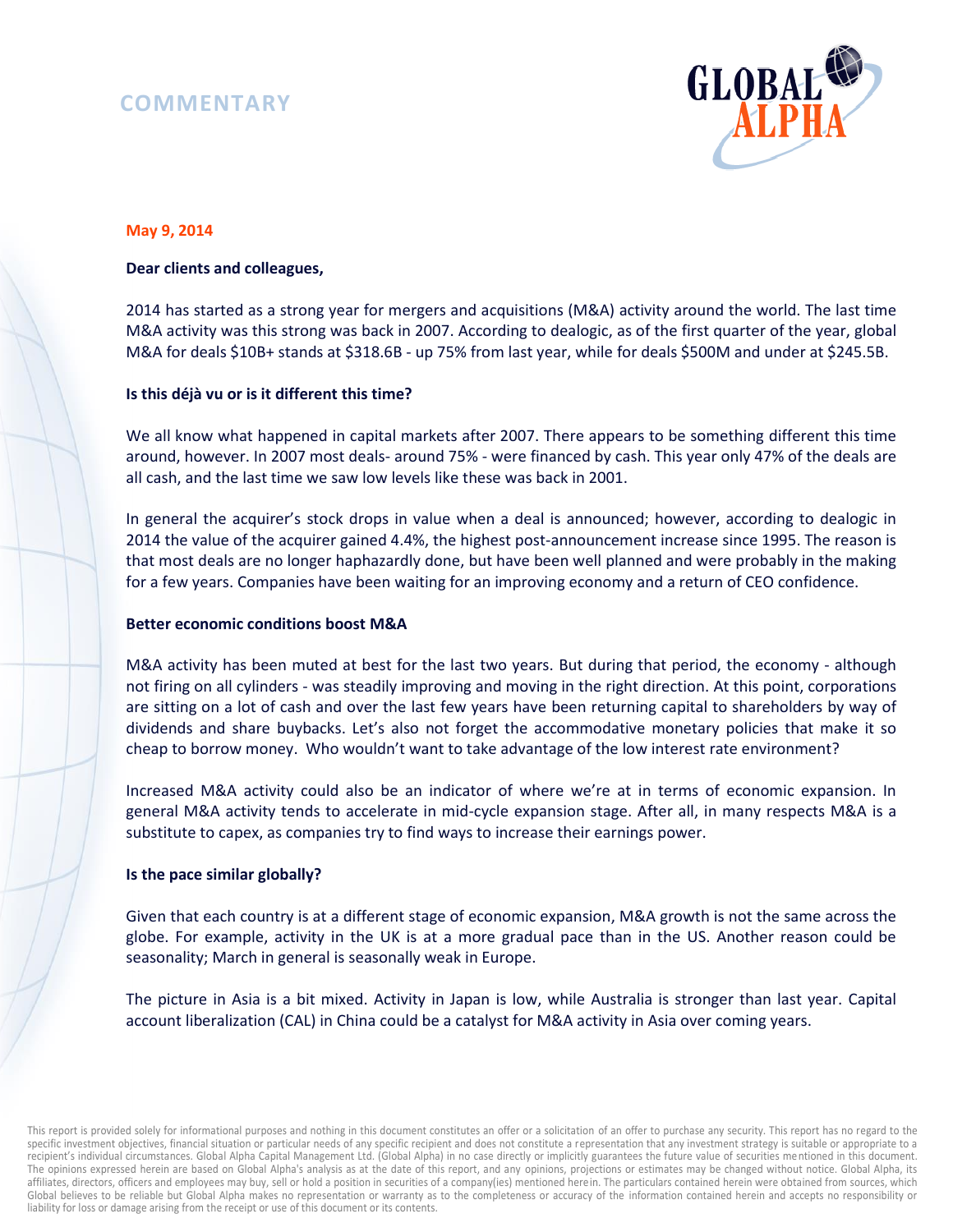# **COMMENTARY**



# **May 9, 2014**

#### **Dear clients and colleagues,**

2014 has started as a strong year for mergers and acquisitions (M&A) activity around the world. The last time M&A activity was this strong was back in 2007. According to dealogic, as of the first quarter of the year, global M&A for deals \$10B+ stands at \$318.6B - up 75% from last year, while for deals \$500M and under at \$245.5B.

## **Is this déjà vu or is it different this time?**

We all know what happened in capital markets after 2007. There appears to be something different this time around, however. In 2007 most deals- around 75% - were financed by cash. This year only 47% of the deals are all cash, and the last time we saw low levels like these was back in 2001.

In general the acquirer's stock drops in value when a deal is announced; however, according to dealogic in 2014 the value of the acquirer gained 4.4%, the highest post-announcement increase since 1995. The reason is that most deals are no longer haphazardly done, but have been well planned and were probably in the making for a few years. Companies have been waiting for an improving economy and a return of CEO confidence.

#### **Better economic conditions boost M&A**

M&A activity has been muted at best for the last two years. But during that period, the economy - although not firing on all cylinders - was steadily improving and moving in the right direction. At this point, corporations are sitting on a lot of cash and over the last few years have been returning capital to shareholders by way of dividends and share buybacks. Let's also not forget the accommodative monetary policies that make it so cheap to borrow money. Who wouldn't want to take advantage of the low interest rate environment?

Increased M&A activity could also be an indicator of where we're at in terms of economic expansion. In general M&A activity tends to accelerate in mid-cycle expansion stage. After all, in many respects M&A is a substitute to capex, as companies try to find ways to increase their earnings power.

#### **Is the pace similar globally?**

Given that each country is at a different stage of economic expansion, M&A growth is not the same across the globe. For example, activity in the UK is at a more gradual pace than in the US. Another reason could be seasonality; March in general is seasonally weak in Europe.

The picture in Asia is a bit mixed. Activity in Japan is low, while Australia is stronger than last year. Capital account liberalization (CAL) in China could be a catalyst for M&A activity in Asia over coming years.

This report is provided solely for informational purposes and nothing in this document constitutes an offer or a solicitation of an offer to purchase any security. This report has no regard to the specific investment objectives, financial situation or particular needs of any specific recipient and does not constitute a representation that any investment strategy is suitable or appropriate to a recipient's individual circumstances. Global Alpha Capital Management Ltd. (Global Alpha) in no case directly or implicitly guarantees the future value of securities mentioned in this document. The opinions expressed herein are based on Global Alpha's analysis as at the date of this report, and any opinions, projections or estimates may be changed without notice. Global Alpha, its affiliates, directors, officers and employees may buy, sell or hold a position in securities of a company(ies) mentioned herein. The particulars contained herein were obtained from sources, which Global believes to be reliable but Global Alpha makes no representation or warranty as to the completeness or accuracy of the information contained herein and accepts no responsibility or liability for loss or damage arising from the receipt or use of this document or its contents.